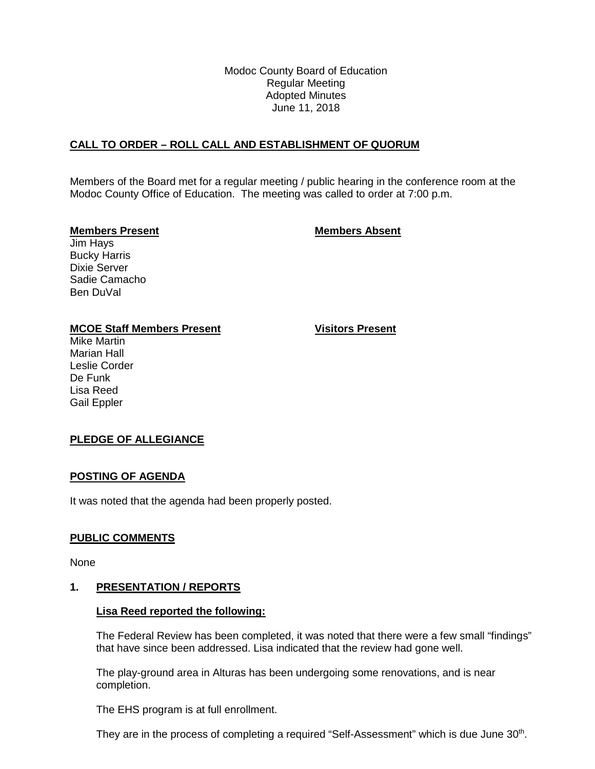Modoc County Board of Education Regular Meeting Adopted Minutes June 11, 2018

#### **CALL TO ORDER – ROLL CALL AND ESTABLISHMENT OF QUORUM**

Members of the Board met for a regular meeting / public hearing in the conference room at the Modoc County Office of Education. The meeting was called to order at 7:00 p.m.

#### **Members Present Members Absent**

Jim Hays Bucky Harris Dixie Server Sadie Camacho Ben DuVal

#### **MCOE Staff Members Present Visitors Present**

Mike Martin Marian Hall Leslie Corder De Funk Lisa Reed Gail Eppler

## **PLEDGE OF ALLEGIANCE**

#### **POSTING OF AGENDA**

It was noted that the agenda had been properly posted.

#### **PUBLIC COMMENTS**

None

#### **1. PRESENTATION / REPORTS**

#### **Lisa Reed reported the following:**

The Federal Review has been completed, it was noted that there were a few small "findings" that have since been addressed. Lisa indicated that the review had gone well.

The play-ground area in Alturas has been undergoing some renovations, and is near completion.

The EHS program is at full enrollment.

They are in the process of completing a required "Self-Assessment" which is due June 30<sup>th</sup>.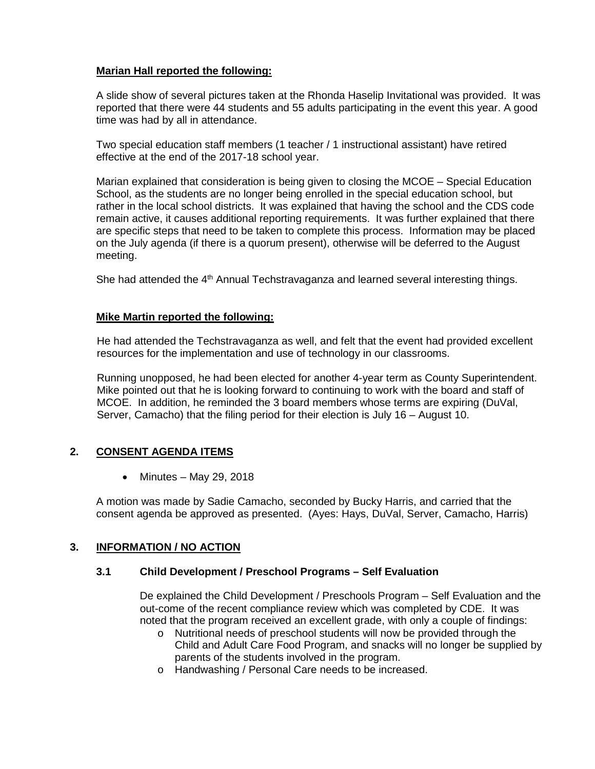## **Marian Hall reported the following:**

A slide show of several pictures taken at the Rhonda Haselip Invitational was provided. It was reported that there were 44 students and 55 adults participating in the event this year. A good time was had by all in attendance.

Two special education staff members (1 teacher / 1 instructional assistant) have retired effective at the end of the 2017-18 school year.

Marian explained that consideration is being given to closing the MCOE – Special Education School, as the students are no longer being enrolled in the special education school, but rather in the local school districts. It was explained that having the school and the CDS code remain active, it causes additional reporting requirements. It was further explained that there are specific steps that need to be taken to complete this process. Information may be placed on the July agenda (if there is a quorum present), otherwise will be deferred to the August meeting.

She had attended the 4<sup>th</sup> Annual Techstravaganza and learned several interesting things.

## **Mike Martin reported the following:**

He had attended the Techstravaganza as well, and felt that the event had provided excellent resources for the implementation and use of technology in our classrooms.

Running unopposed, he had been elected for another 4-year term as County Superintendent. Mike pointed out that he is looking forward to continuing to work with the board and staff of MCOE. In addition, he reminded the 3 board members whose terms are expiring (DuVal, Server, Camacho) that the filing period for their election is July 16 – August 10.

# **2. CONSENT AGENDA ITEMS**

• Minutes – May 29, 2018

A motion was made by Sadie Camacho, seconded by Bucky Harris, and carried that the consent agenda be approved as presented. (Ayes: Hays, DuVal, Server, Camacho, Harris)

## **3. INFORMATION / NO ACTION**

## **3.1 Child Development / Preschool Programs – Self Evaluation**

De explained the Child Development / Preschools Program – Self Evaluation and the out-come of the recent compliance review which was completed by CDE. It was noted that the program received an excellent grade, with only a couple of findings:

- o Nutritional needs of preschool students will now be provided through the Child and Adult Care Food Program, and snacks will no longer be supplied by parents of the students involved in the program.
- o Handwashing / Personal Care needs to be increased.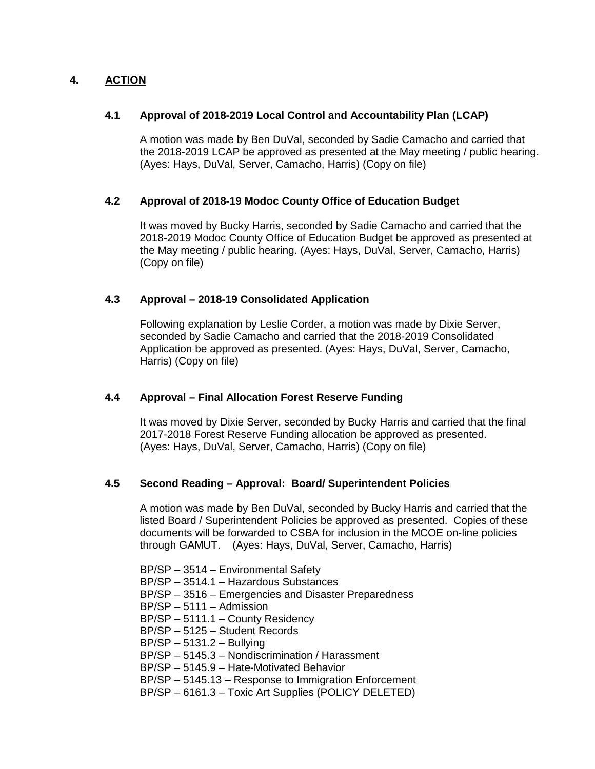# **4. ACTION**

## **4.1 Approval of 2018-2019 Local Control and Accountability Plan (LCAP)**

A motion was made by Ben DuVal, seconded by Sadie Camacho and carried that the 2018-2019 LCAP be approved as presented at the May meeting / public hearing. (Ayes: Hays, DuVal, Server, Camacho, Harris) (Copy on file)

## **4.2 Approval of 2018-19 Modoc County Office of Education Budget**

It was moved by Bucky Harris, seconded by Sadie Camacho and carried that the 2018-2019 Modoc County Office of Education Budget be approved as presented at the May meeting / public hearing. (Ayes: Hays, DuVal, Server, Camacho, Harris) (Copy on file)

#### **4.3 Approval – 2018-19 Consolidated Application**

Following explanation by Leslie Corder, a motion was made by Dixie Server, seconded by Sadie Camacho and carried that the 2018-2019 Consolidated Application be approved as presented. (Ayes: Hays, DuVal, Server, Camacho, Harris) (Copy on file)

## **4.4 Approval – Final Allocation Forest Reserve Funding**

It was moved by Dixie Server, seconded by Bucky Harris and carried that the final 2017-2018 Forest Reserve Funding allocation be approved as presented. (Ayes: Hays, DuVal, Server, Camacho, Harris) (Copy on file)

## **4.5 Second Reading – Approval: Board/ Superintendent Policies**

A motion was made by Ben DuVal, seconded by Bucky Harris and carried that the listed Board / Superintendent Policies be approved as presented. Copies of these documents will be forwarded to CSBA for inclusion in the MCOE on-line policies through GAMUT. (Ayes: Hays, DuVal, Server, Camacho, Harris)

BP/SP – 3514 – Environmental Safety

- BP/SP 3514.1 Hazardous Substances
- BP/SP 3516 Emergencies and Disaster Preparedness
- BP/SP 5111 Admission
- BP/SP 5111.1 County Residency
- BP/SP 5125 Student Records
- BP/SP 5131.2 Bullying
- BP/SP 5145.3 Nondiscrimination / Harassment
- BP/SP 5145.9 Hate-Motivated Behavior
- BP/SP 5145.13 Response to Immigration Enforcement
- BP/SP 6161.3 Toxic Art Supplies (POLICY DELETED)